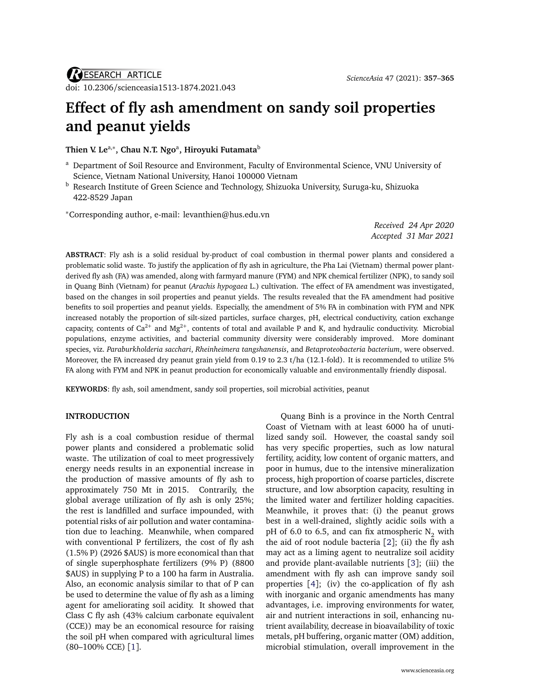# **Effect of fly ash amendment on sandy soil properties and peanut yields**

**Thien V. Le**a,<sup>∗</sup> **, Chau N.T. Ngo**<sup>a</sup> **, Hiroyuki Futamata**<sup>b</sup>

- <sup>a</sup> Department of Soil Resource and Environment, Faculty of Environmental Science, VNU University of Science, Vietnam National University, Hanoi 100000 Vietnam
- **b** Research Institute of Green Science and Technology, Shizuoka University, Suruga-ku, Shizuoka 422-8529 Japan

<sup>∗</sup>Corresponding author, e-mail: [levanthien@hus.edu.vn](mailto:levanthien@hus.edu.vn)

*Received 24 Apr 2020 Accepted 31 Mar 2021*

**ABSTRACT**: Fly ash is a solid residual by-product of coal combustion in thermal power plants and considered a problematic solid waste. To justify the application of fly ash in agriculture, the Pha Lai (Vietnam) thermal power plantderived fly ash (FA) was amended, along with farmyard manure (FYM) and NPK chemical fertilizer (NPK), to sandy soil in Quang Binh (Vietnam) for peanut (*Arachis hypogaea* L.) cultivation. The effect of FA amendment was investigated, based on the changes in soil properties and peanut yields. The results revealed that the FA amendment had positive benefits to soil properties and peanut yields. Especially, the amendment of 5% FA in combination with FYM and NPK increased notably the proportion of silt-sized particles, surface charges, pH, electrical conductivity, cation exchange capacity, contents of Ca<sup>2+</sup> and Mg<sup>2+</sup>, contents of total and available P and K, and hydraulic conductivity. Microbial populations, enzyme activities, and bacterial community diversity were considerably improved. More dominant species, viz. *Paraburkholderia sacchari*, *Rheinheimera tangshanensis*, and *Betaproteobacteria bacterium*, were observed. Moreover, the FA increased dry peanut grain yield from 0.19 to 2.3 t/ha (12.1-fold). It is recommended to utilize 5% FA along with FYM and NPK in peanut production for economically valuable and environmentally friendly disposal.

**KEYWORDS**: fly ash, soil amendment, sandy soil properties, soil microbial activities, peanut

## **INTRODUCTION**

Fly ash is a coal combustion residue of thermal power plants and considered a problematic solid waste. The utilization of coal to meet progressively energy needs results in an exponential increase in the production of massive amounts of fly ash to approximately 750 Mt in 2015. Contrarily, the global average utilization of fly ash is only 25%; the rest is landfilled and surface impounded, with potential risks of air pollution and water contamination due to leaching. Meanwhile, when compared with conventional P fertilizers, the cost of fly ash (1.5% P) (2926 \$AUS) is more economical than that of single superphosphate fertilizers (9% P) (8800 \$AUS) in supplying P to a 100 ha farm in Australia. Also, an economic analysis similar to that of P can be used to determine the value of fly ash as a liming agent for ameliorating soil acidity. It showed that Class C fly ash (43% calcium carbonate equivalent (CCE)) may be an economical resource for raising the soil pH when compared with agricultural limes (80–100% CCE) [[1](#page-7-0)].

Quang Binh is a province in the North Central Coast of Vietnam with at least 6000 ha of unutilized sandy soil. However, the coastal sandy soil has very specific properties, such as low natural fertility, acidity, low content of organic matters, and poor in humus, due to the intensive mineralization process, high proportion of coarse particles, discrete structure, and low absorption capacity, resulting in the limited water and fertilizer holding capacities. Meanwhile, it proves that: (i) the peanut grows best in a well-drained, slightly acidic soils with a pH of 6.0 to 6.5, and can fix atmospheric  $N<sub>2</sub>$  with the aid of root nodule bacteria [[2](#page-7-1)]; (ii) the fly ash may act as a liming agent to neutralize soil acidity and provide plant-available nutrients [[3](#page-7-2)]; (iii) the amendment with fly ash can improve sandy soil properties [[4](#page-7-3)]; (iv) the co-application of fly ash with inorganic and organic amendments has many advantages, i.e. improving environments for water, air and nutrient interactions in soil, enhancing nutrient availability, decrease in bioavailability of toxic metals, pH buffering, organic matter (OM) addition, microbial stimulation, overall improvement in the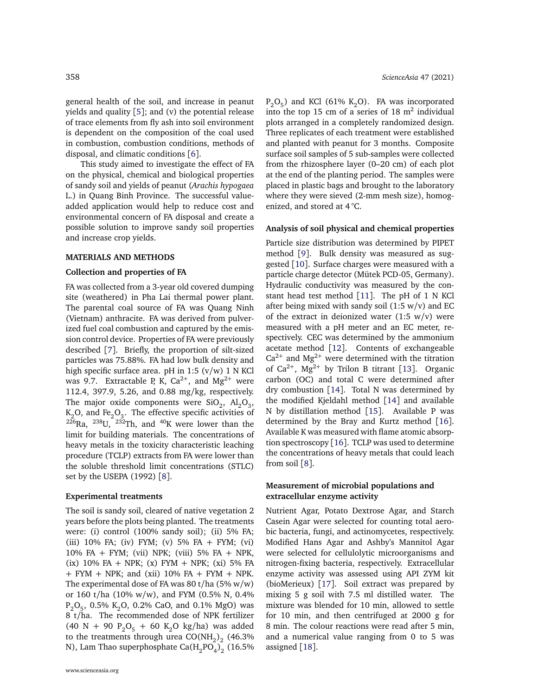general health of the soil, and increase in peanut yields and quality  $[5]$  $[5]$  $[5]$ ; and (v) the potential release of trace elements from fly ash into soil environment is dependent on the composition of the coal used in combustion, combustion conditions, methods of disposal, and climatic conditions [[6](#page-7-5)].

This study aimed to investigate the effect of FA on the physical, chemical and biological properties of sandy soil and yields of peanut (*Arachis hypogaea* L.) in Quang Binh Province. The successful valueadded application would help to reduce cost and environmental concern of FA disposal and create a possible solution to improve sandy soil properties and increase crop yields.

### **MATERIALS AND METHODS**

#### **Collection and properties of FA**

FA was collected from a 3-year old covered dumping site (weathered) in Pha Lai thermal power plant. The parental coal source of FA was Quang Ninh (Vietnam) anthracite. FA was derived from pulverized fuel coal combustion and captured by the emission control device. Properties of FA were previously described [[7](#page-7-6)]. Briefly, the proportion of silt-sized particles was 75.88%. FA had low bulk density and high specific surface area. pH in 1:5  $(v/w)$  1 N KCl was 9.7. Extractable P, K, Ca $^{2+}$ , and Mg $^{2+}$  were 112.4, 397.9, 5.26, and 0.88 mg/kg, respectively. The major oxide components were  $\text{SiO}_2$ ,  $\text{Al}_2\text{O}_3$ ,  $\mathrm{K}_2\mathrm{O},$  and Fe $\mathrm{_2O}_3.$  The effective specific activities of  $226$ Ra,  $238$ U,  $232$ Th, and  $40$ K were lower than the limit for building materials. The concentrations of heavy metals in the toxicity characteristic leaching procedure (TCLP) extracts from FA were lower than the soluble threshold limit concentrations (STLC) set by the USEPA (1992) [[8](#page-7-7)].

#### **Experimental treatments**

The soil is sandy soil, cleared of native vegetation 2 years before the plots being planted. The treatments were: (i) control (100% sandy soil); (ii) 5% FA; (iii) 10% FA; (iv) FYM; (v) 5% FA + FYM; (vi) 10% FA + FYM; (vii) NPK; (viii) 5% FA + NPK,  $(ix)$  10% FA + NPK;  $(x)$  FYM + NPK;  $(xi)$  5% FA  $+$  FYM  $+$  NPK; and (xii) 10% FA  $+$  FYM  $+$  NPK. The experimental dose of FA was 80 t/ha  $(5\% \text{ w/w})$ or 160 t/ha (10% w/w), and FYM (0.5% N, 0.4%  $P_2O_5$ , 0.5% K<sub>2</sub>O, 0.2% CaO, and 0.1% MgO) was 8 t/ha. The recommended dose of NPK fertilizer (40 N + 90  $P_2O_5$  + 60 K<sub>2</sub>O kg/ha) was added to the treatments through urea  $\mathrm{CO(NH}_2\mathrm{)}_2$  (46.3% N), Lam Thao superphosphate Ca $\mathrm{(H_{2}PO_{4})_{2}}$  (16.5%

 $P_2O_5$ ) and KCl (61% K<sub>2</sub>O). FA was incorporated into the top 15 cm of a series of  $18 \text{ m}^2$  individual plots arranged in a completely randomized design. Three replicates of each treatment were established and planted with peanut for 3 months. Composite surface soil samples of 5 sub-samples were collected from the rhizosphere layer (0–20 cm) of each plot at the end of the planting period. The samples were placed in plastic bags and brought to the laboratory where they were sieved (2-mm mesh size), homogenized, and stored at 4 °C.

#### **Analysis of soil physical and chemical properties**

Particle size distribution was determined by PIPET method [[9](#page-7-8)]. Bulk density was measured as suggested [[10](#page-7-9)]. Surface charges were measured with a particle charge detector (Mütek PCD-05, Germany). Hydraulic conductivity was measured by the constant head test method [[11](#page-7-10)]. The pH of 1 N KCl after being mixed with sandy soil  $(1:5 \text{ w/v})$  and EC of the extract in deionized water  $(1:5 \text{ w/v})$  were measured with a pH meter and an EC meter, respectively. CEC was determined by the ammonium acetate method [[12](#page-7-11)]. Contents of exchangeable  $Ca^{2+}$  and Mg<sup>2+</sup> were determined with the titration of  $Ca^{2+}$ ,  $Mg^{2+}$  by Trilon B titrant [[13](#page-7-12)]. Organic carbon (OC) and total C were determined after dry combustion [[14](#page-7-13)]. Total N was determined by the modified Kjeldahl method [[14](#page-7-13)] and available N by distillation method [[15](#page-7-14)]. Available P was determined by the Bray and Kurtz method [[16](#page-7-15)]. Available K was measured with flame atomic absorption spectroscopy [[16](#page-7-15)]. TCLP was used to determine the concentrations of heavy metals that could leach from soil [[8](#page-7-7)].

## **Measurement of microbial populations and extracellular enzyme activity**

Nutrient Agar, Potato Dextrose Agar, and Starch Casein Agar were selected for counting total aerobic bacteria, fungi, and actinomycetes, respectively. Modified Hans Agar and Ashby's Mannitol Agar were selected for cellulolytic microorganisms and nitrogen-fixing bacteria, respectively. Extracellular enzyme activity was assessed using API ZYM kit (bioMerieux) [[17](#page-7-16)]. Soil extract was prepared by mixing 5 g soil with 7.5 ml distilled water. The mixture was blended for 10 min, allowed to settle for 10 min, and then centrifuged at 2000 g for 8 min. The colour reactions were read after 5 min, and a numerical value ranging from 0 to 5 was assigned [[18](#page-7-17)].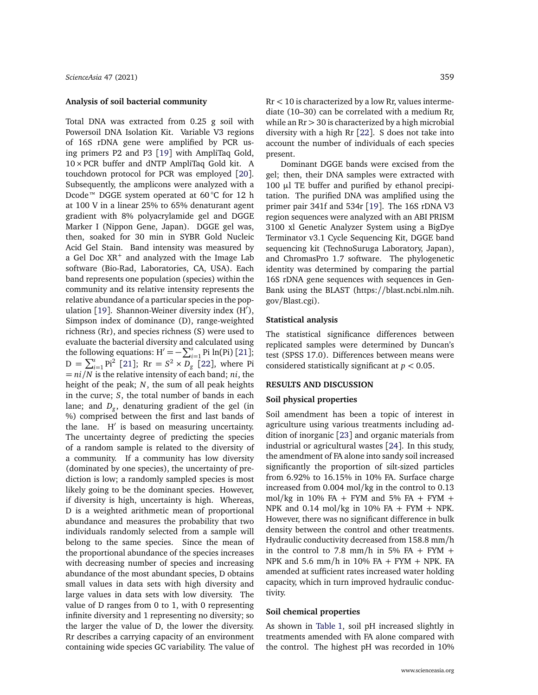## **Analysis of soil bacterial community**

Total DNA was extracted from 0.25 g soil with Powersoil DNA Isolation Kit. Variable V3 regions of 16S rDNA gene were amplified by PCR using primers P2 and P3 [[19](#page-7-18)] with AmpliTaq Gold, 10×PCR buffer and dNTP AmpliTaq Gold kit. A touchdown protocol for PCR was employed [[20](#page-7-19)]. Subsequently, the amplicons were analyzed with a Dcode™ DGGE system operated at 60 °C for 12 h at 100 V in a linear 25% to 65% denaturant agent gradient with 8% polyacrylamide gel and DGGE Marker I (Nippon Gene, Japan). DGGE gel was, then, soaked for 30 min in SYBR Gold Nucleic Acid Gel Stain. Band intensity was measured by a Gel Doc XR $^+$  and analyzed with the Image Lab software (Bio-Rad, Laboratories, CA, USA). Each band represents one population (species) within the community and its relative intensity represents the relative abundance of a particular species in the pop-ulation [[19](#page-7-18)]. Shannon-Weiner diversity index  $(H')$ , Simpson index of dominance (D), range-weighted richness (Rr), and species richness (S) were used to evaluate the bacterial diversity and calculated using the following equations:  $H' = -\sum_{i=1}^{s} Pi \ln(Pi)$  [[21](#page-7-20)];  $D = \sum_{i=1}^{s} P i^{2}$  [[21](#page-7-20)]; Rr =  $S^{2} \times D_{g}$  [[22](#page-7-21)], where Pi = *ni/N* is the relative intensity of each band; *ni*, the height of the peak; *N*, the sum of all peak heights in the curve; *S*, the total number of bands in each lane; and *D<sup>g</sup>* , denaturing gradient of the gel (in %) comprised between the first and last bands of the lane.  $H'$  is based on measuring uncertainty. The uncertainty degree of predicting the species of a random sample is related to the diversity of a community. If a community has low diversity (dominated by one species), the uncertainty of prediction is low; a randomly sampled species is most likely going to be the dominant species. However, if diversity is high, uncertainty is high. Whereas, D is a weighted arithmetic mean of proportional abundance and measures the probability that two individuals randomly selected from a sample will belong to the same species. Since the mean of the proportional abundance of the species increases with decreasing number of species and increasing abundance of the most abundant species, D obtains small values in data sets with high diversity and large values in data sets with low diversity. The value of D ranges from 0 to 1, with 0 representing infinite diversity and 1 representing no diversity; so the larger the value of D, the lower the diversity. Rr describes a carrying capacity of an environment containing wide species GC variability. The value of  $Rr < 10$  is characterized by a low Rr, values intermediate (10–30) can be correlated with a medium Rr, while an  $Rr > 30$  is characterized by a high microbial diversity with a high Rr [[22](#page-7-21)]. S does not take into account the number of individuals of each species present.

Dominant DGGE bands were excised from the gel; then, their DNA samples were extracted with 100  $\mu$ l TE buffer and purified by ethanol precipitation. The purified DNA was amplified using the primer pair 341f and 534r [[19](#page-7-18)]. The 16S rDNA V3 region sequences were analyzed with an ABI PRISM 3100 xl Genetic Analyzer System using a BigDye Terminator v3.1 Cycle Sequencing Kit, DGGE band sequencing kit (TechnoSuruga Laboratory, Japan), and ChromasPro 1.7 software. The phylogenetic identity was determined by comparing the partial 16S rDNA gene sequences with sequences in Gen-Bank using the BLAST (https://[blast.ncbi.nlm.nih.](https://blast.ncbi.nlm.nih.gov/Blast.cgi) gov/[Blast.cgi\)](https://blast.ncbi.nlm.nih.gov/Blast.cgi).

#### **Statistical analysis**

The statistical significance differences between replicated samples were determined by Duncan's test (SPSS 17.0). Differences between means were considered statistically significant at *p <* 0.05.

#### **RESULTS AND DISCUSSION**

#### **Soil physical properties**

Soil amendment has been a topic of interest in agriculture using various treatments including addition of inorganic [[23](#page-7-22)] and organic materials from industrial or agricultural wastes [[24](#page-7-23)]. In this study, the amendment of FA alone into sandy soil increased significantly the proportion of silt-sized particles from 6.92% to 16.15% in 10% FA. Surface charge increased from 0.004 mol/kg in the control to 0.13 mol/kg in 10% FA + FYM and 5% FA + FYM + NPK and 0.14 mol/kg in 10% FA + FYM + NPK. However, there was no significant difference in bulk density between the control and other treatments. Hydraulic conductivity decreased from 158.8 mm/h in the control to 7.8 mm/h in 5% FA + FYM + NPK and 5.6 mm/h in 10% FA + FYM + NPK. FA amended at sufficient rates increased water holding capacity, which in turn improved hydraulic conductivity.

## **Soil chemical properties**

As shown in [Table 1,](#page-3-0) soil pH increased slightly in treatments amended with FA alone compared with the control. The highest pH was recorded in 10%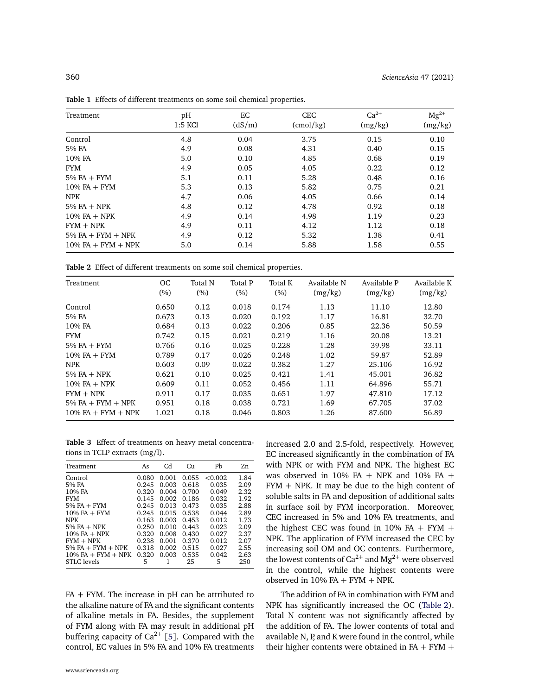| Treatment             | pH        | EC     | <b>CEC</b>       | $Ca^{2+}$ | $Mg^{2+}$ |
|-----------------------|-----------|--------|------------------|-----------|-----------|
|                       | $1:5$ KCl | (dS/m) | $\text{cmol/kg}$ | (mg/kg)   | (mg/kg)   |
| Control               | 4.8       | 0.04   | 3.75             | 0.15      | 0.10      |
| 5% FA                 | 4.9       | 0.08   | 4.31             | 0.40      | 0.15      |
| 10% FA                | 5.0       | 0.10   | 4.85             | 0.68      | 0.19      |
| <b>FYM</b>            | 4.9       | 0.05   | 4.05             | 0.22      | 0.12      |
| $5\%$ FA + FYM        | 5.1       | 0.11   | 5.28             | 0.48      | 0.16      |
| $10\%$ FA + FYM       | 5.3       | 0.13   | 5.82             | 0.75      | 0.21      |
| <b>NPK</b>            | 4.7       | 0.06   | 4.05             | 0.66      | 0.14      |
| $5\%$ FA + NPK        | 4.8       | 0.12   | 4.78             | 0.92      | 0.18      |
| $10\%$ FA $+$ NPK     | 4.9       | 0.14   | 4.98             | 1.19      | 0.23      |
| $FYM + NPK$           | 4.9       | 0.11   | 4.12             | 1.12      | 0.18      |
| $5\%$ FA + FYM + NPK  | 4.9       | 0.12   | 5.32             | 1.38      | 0.41      |
| $10\%$ FA + FYM + NPK | 5.0       | 0.14   | 5.88             | 1.58      | 0.55      |

<span id="page-3-0"></span>**Table 1** Effects of different treatments on some soil chemical properties.

<span id="page-3-1"></span>**Table 2** Effect of different treatments on some soil chemical properties.

| Treatment             | OC     | Total N | Total P | Total K | Available N | Available P | Available K |
|-----------------------|--------|---------|---------|---------|-------------|-------------|-------------|
|                       | $(\%)$ | (%)     | (%)     | (%)     | (mg/kg)     | (mg/kg)     | (mg/kg)     |
| Control               | 0.650  | 0.12    | 0.018   | 0.174   | 1.13        | 11.10       | 12.80       |
| 5% FA                 | 0.673  | 0.13    | 0.020   | 0.192   | 1.17        | 16.81       | 32.70       |
| 10% FA                | 0.684  | 0.13    | 0.022   | 0.206   | 0.85        | 22.36       | 50.59       |
| <b>FYM</b>            | 0.742  | 0.15    | 0.021   | 0.219   | 1.16        | 20.08       | 13.21       |
| $5\%$ FA $+$ FYM      | 0.766  | 0.16    | 0.025   | 0.228   | 1.28        | 39.98       | 33.11       |
| $10\%$ FA $+$ FYM     | 0.789  | 0.17    | 0.026   | 0.248   | 1.02        | 59.87       | 52.89       |
| <b>NPK</b>            | 0.603  | 0.09    | 0.022   | 0.382   | 1.27        | 25.106      | 16.92       |
| $5\%$ FA $+$ NPK      | 0.621  | 0.10    | 0.025   | 0.421   | 1.41        | 45.001      | 36.82       |
| $10\%$ FA $+$ NPK     | 0.609  | 0.11    | 0.052   | 0.456   | 1.11        | 64.896      | 55.71       |
| $FYM + NPK$           | 0.911  | 0.17    | 0.035   | 0.651   | 1.97        | 47.810      | 17.12       |
| $5\%$ FA + FYM + NPK  | 0.951  | 0.18    | 0.038   | 0.721   | 1.69        | 67.705      | 37.02       |
| $10\%$ FA + FYM + NPK | 1.021  | 0.18    | 0.046   | 0.803   | 1.26        | 87.600      | 56.89       |

<span id="page-3-2"></span>**Table 3** Effect of treatments on heavy metal concentrations in TCLP extracts (mg/l).

| Treatment             | As    | Cd    | Cи    | Pb      | 7.n  |
|-----------------------|-------|-------|-------|---------|------|
| Control               | 0.080 | 0.001 | 0.055 | < 0.002 | 1.84 |
| 5% FA                 | 0.245 | 0.003 | 0.618 | 0.035   | 2.09 |
| 10% FA                | 0.320 | 0.004 | 0.700 | 0.049   | 2.32 |
| <b>FYM</b>            | 0.145 | 0.002 | 0.186 | 0.032   | 1.92 |
| $5\%$ FA $+$ FYM      | 0.245 | 0.013 | 0.473 | 0.035   | 2.88 |
| $10\%$ FA $+$ FYM     | 0.245 | 0.015 | 0.538 | 0.044   | 2.89 |
| <b>NPK</b>            | 0.163 | 0.003 | 0.453 | 0.012   | 1.73 |
| $5%FA + NPK$          | 0.250 | 0.010 | 0.443 | 0.023   | 2.09 |
| $10\%$ FA $+$ NPK     | 0.320 | 0.008 | 0.430 | 0.027   | 2.37 |
| $FYM + NPK$           | 0.238 | 0.001 | 0.370 | 0.012   | 2.07 |
| $5\%$ FA + FYM + NPK  | 0.318 | 0.002 | 0.515 | 0.027   | 2.55 |
| $10\%$ FA + FYM + NPK | 0.320 | 0.003 | 0.535 | 0.042   | 2.63 |
| STLC levels           | 5     |       | 25    | 5       | 250  |

FA + FYM. The increase in pH can be attributed to the alkaline nature of FA and the significant contents of alkaline metals in FA. Besides, the supplement of FYM along with FA may result in additional pH buffering capacity of  $Ca^{2+}$  [[5](#page-7-4)]. Compared with the control, EC values in 5% FA and 10% FA treatments

increased 2.0 and 2.5-fold, respectively. However, EC increased significantly in the combination of FA with NPK or with FYM and NPK. The highest EC was observed in 10% FA + NPK and 10% FA + FYM + NPK. It may be due to the high content of soluble salts in FA and deposition of additional salts in surface soil by FYM incorporation. Moreover, CEC increased in 5% and 10% FA treatments, and the highest CEC was found in 10% FA + FYM + NPK. The application of FYM increased the CEC by increasing soil OM and OC contents. Furthermore, the lowest contents of Ca $^{2+}$  and Mg $^{2+}$  were observed in the control, while the highest contents were observed in  $10\%$  FA + FYM + NPK.

The addition of FA in combination with FYM and NPK has significantly increased the OC [\(Table 2\)](#page-3-1). Total N content was not significantly affected by the addition of FA. The lower contents of total and available N, P, and K were found in the control, while their higher contents were obtained in  $FA + FYM +$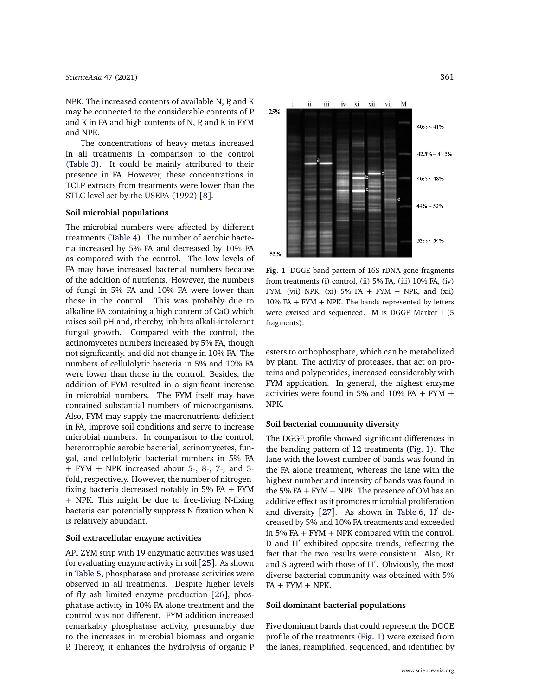NPK. The increased contents of available N, P, and K may be connected to the considerable contents of P and K in FA and high contents of N, P, and K in FYM and NPK.

The concentrations of heavy metals increased in all treatments in comparison to the control [\(Table 3\)](#page-3-2). It could be mainly attributed to their presence in FA. However, these concentrations in TCLP extracts from treatments were lower than the STLC level set by the USEPA (1992) [[8](#page-7-7)].

## **Soil microbial populations**

The microbial numbers were affected by different treatments [\(Table 4\)](#page-5-0). The number of aerobic bacteria increased by 5% FA and decreased by 10% FA as compared with the control. The low levels of FA may have increased bacterial numbers because of the addition of nutrients. However, the numbers of fungi in 5% FA and 10% FA were lower than those in the control. This was probably due to alkaline FA containing a high content of CaO which raises soil pH and, thereby, inhibits alkali-intolerant fungal growth. Compared with the control, the actinomycetes numbers increased by 5% FA, though not significantly, and did not change in 10% FA. The numbers of cellulolytic bacteria in 5% and 10% FA were lower than those in the control. Besides, the addition of FYM resulted in a significant increase in microbial numbers. The FYM itself may have contained substantial numbers of microorganisms. Also, FYM may supply the macronutrients deficient in FA, improve soil conditions and serve to increase microbial numbers. In comparison to the control, heterotrophic aerobic bacterial, actinomycetes, fungal, and cellulolytic bacterial numbers in 5% FA + FYM + NPK increased about 5-, 8-, 7-, and 5 fold, respectively. However, the number of nitrogenfixing bacteria decreased notably in 5% FA + FYM + NPK. This might be due to free-living N-fixing bacteria can potentially suppress N fixation when N is relatively abundant.

#### **Soil extracellular enzyme activities**

API ZYM strip with 19 enzymatic activities was used for evaluating enzyme activity in soil [[25](#page-7-24)]. As shown in [Table 5,](#page-5-1) phosphatase and protease activities were observed in all treatments. Despite higher levels of fly ash limited enzyme production [[26](#page-7-25)], phosphatase activity in 10% FA alone treatment and the control was not different. FYM addition increased remarkably phosphatase activity, presumably due to the increases in microbial biomass and organic P. Thereby, it enhances the hydrolysis of organic P

<span id="page-4-0"></span>

**Fig. 1** DGGE band pattern of 16S rDNA gene fragments from treatments (i) control, (ii) 5% FA, (iii) 10% FA, (iv) FYM, (vii) NPK, (xi) 5% FA + FYM + NPK, and (xii) 10% FA + FYM + NPK. The bands represented by letters were excised and sequenced. M is DGGE Marker I (5 fragments).

esters to orthophosphate, which can be metabolized by plant. The activity of proteases, that act on proteins and polypeptides, increased considerably with FYM application. In general, the highest enzyme activities were found in 5% and 10% FA + FYM + NPK.

## **Soil bacterial community diversity**

The DGGE profile showed significant differences in the banding pattern of 12 treatments [\(Fig. 1\)](#page-4-0). The lane with the lowest number of bands was found in the FA alone treatment, whereas the lane with the highest number and intensity of bands was found in the 5% FA  $+$  FYM  $+$  NPK. The presence of OM has an additive effect as it promotes microbial proliferation and diversity  $[27]$  $[27]$  $[27]$ . As shown in [Table 6,](#page-6-0) H $^{\prime}$  decreased by 5% and 10% FA treatments and exceeded in 5% FA  $+$  FYM  $+$  NPK compared with the control. D and H' exhibited opposite trends, reflecting the fact that the two results were consistent. Also, Rr and S agreed with those of H'. Obviously, the most diverse bacterial community was obtained with 5%  $FA + FYM + NPK.$ 

## **Soil dominant bacterial populations**

Five dominant bands that could represent the DGGE profile of the treatments [\(Fig. 1\)](#page-4-0) were excised from the lanes, reamplified, sequenced, and identified by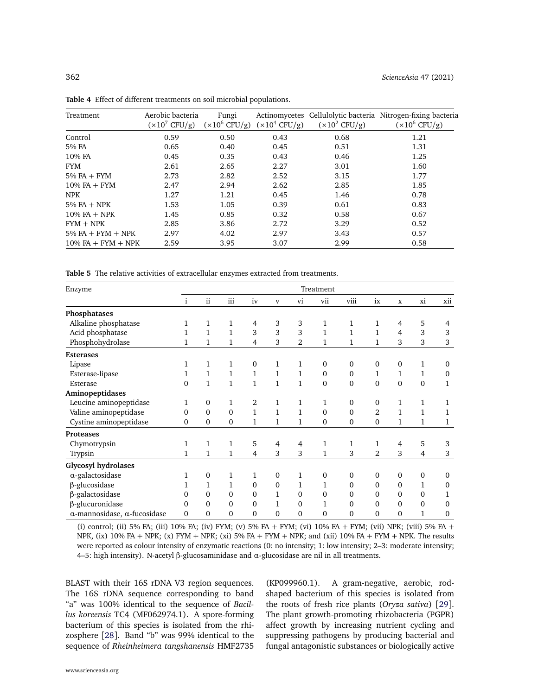| Treatment             | Aerobic bacteria<br>$(x10^7 \text{ CFU/g})$ | Fungi<br>$(x10^6$ CFU/g) | $(x10^4$ CFU/g) | $(x10^2$ CFU/g) | Actinomycetes Cellulolytic bacteria Nitrogen-fixing bacteria<br>$(x10^6$ CFU/g) |
|-----------------------|---------------------------------------------|--------------------------|-----------------|-----------------|---------------------------------------------------------------------------------|
| Control               | 0.59                                        | 0.50                     | 0.43            | 0.68            | 1.21                                                                            |
| 5% FA                 | 0.65                                        | 0.40                     | 0.45            | 0.51            | 1.31                                                                            |
| 10% FA                | 0.45                                        | 0.35                     | 0.43            | 0.46            | 1.25                                                                            |
| <b>FYM</b>            | 2.61                                        | 2.65                     | 2.27            | 3.01            | 1.60                                                                            |
| $5\%$ FA + FYM        | 2.73                                        | 2.82                     | 2.52            | 3.15            | 1.77                                                                            |
| $10\%$ FA $+$ FYM     | 2.47                                        | 2.94                     | 2.62            | 2.85            | 1.85                                                                            |
| <b>NPK</b>            | 1.27                                        | 1.21                     | 0.45            | 1.46            | 0.78                                                                            |
| $5\%$ FA $+$ NPK      | 1.53                                        | 1.05                     | 0.39            | 0.61            | 0.83                                                                            |
| $10\%$ FA $+$ NPK     | 1.45                                        | 0.85                     | 0.32            | 0.58            | 0.67                                                                            |
| $FYM + NPK$           | 2.85                                        | 3.86                     | 2.72            | 3.29            | 0.52                                                                            |
| $5\%$ FA + FYM + NPK  | 2.97                                        | 4.02                     | 2.97            | 3.43            | 0.57                                                                            |
| $10\%$ FA + FYM + NPK | 2.59                                        | 3.95                     | 3.07            | 2.99            | 0.58                                                                            |

<span id="page-5-0"></span>**Table 4** Effect of different treatments on soil microbial populations.

<span id="page-5-1"></span>**Table 5** The relative activities of extracellular enzymes extracted from treatments.

| Enzyme                                      | Treatment      |              |              |                |                |                |              |                |                |                |                |                |
|---------------------------------------------|----------------|--------------|--------------|----------------|----------------|----------------|--------------|----------------|----------------|----------------|----------------|----------------|
|                                             | $\mathbf{i}$   | ii           | iii          | iv             | $\mathbf{V}$   | vi             | vii          | viii           | ix             | $\mathbf x$    | xi             | xii            |
| Phosphatases                                |                |              |              |                |                |                |              |                |                |                |                |                |
| Alkaline phosphatase                        | 1              | $\mathbf{1}$ | 1            | 4              | 3              | 3              | 1            | 1              | $\mathbf{1}$   | 4              | 5              | 4              |
| Acid phosphatase                            | $\mathbf{1}$   | $\mathbf{1}$ | $\mathbf{1}$ | 3              | 3              | 3              | 1            | $\mathbf{1}$   | $\mathbf{1}$   | $\overline{4}$ | 3              | 3              |
| Phosphohydrolase                            | $\mathbf{1}$   | 1            | 1            | 4              | 3              | 2              | $\mathbf{1}$ | 1              | $\mathbf{1}$   | 3              | 3              | 3              |
| <b>Esterases</b>                            |                |              |              |                |                |                |              |                |                |                |                |                |
| Lipase                                      | 1              | 1            | 1            | $\mathbf{0}$   | 1              | 1              | $\mathbf{0}$ | $\mathbf{0}$   | $\mathbf{0}$   | $\mathbf{0}$   | 1              | $\Omega$       |
| Esterase-lipase                             | $\mathbf{1}$   | $\mathbf{1}$ | $\mathbf{1}$ | $\mathbf{1}$   | $\mathbf{1}$   | $\mathbf{1}$   | $\mathbf{0}$ | $\mathbf{0}$   | $\mathbf{1}$   | $\mathbf{1}$   | $\mathbf{1}$   | $\mathbf{0}$   |
| Esterase                                    | $\mathbf{0}$   | $\mathbf{1}$ | $\mathbf{1}$ | $\mathbf{1}$   | $\mathbf{1}$   | $\mathbf{1}$   | $\mathbf{0}$ | $\mathbf{0}$   | $\mathbf{0}$   | $\mathbf{0}$   | $\mathbf{0}$   | $\mathbf{1}$   |
| Aminopeptidases                             |                |              |              |                |                |                |              |                |                |                |                |                |
| Leucine aminopeptidase                      | 1              | $\mathbf{0}$ | 1            | $\overline{2}$ | $\mathbf{1}$   | $\mathbf{1}$   | $\mathbf{1}$ | $\Omega$       | $\mathbf{0}$   | $\mathbf{1}$   | 1              | 1              |
| Valine aminopeptidase                       | $\Omega$       | $\Omega$     | $\Omega$     | $\mathbf{1}$   | $\mathbf{1}$   | $\mathbf{1}$   | $\Omega$     | $\Omega$       | $\overline{2}$ | $\mathbf{1}$   | 1              | $\mathbf{1}$   |
| Cystine aminopeptidase                      | $\mathbf{0}$   | $\mathbf{0}$ | $\mathbf{0}$ | 1              | 1              | $\mathbf{1}$   | $\mathbf{0}$ | $\mathbf{0}$   | $\mathbf{0}$   | 1              | 1              | 1              |
| Proteases                                   |                |              |              |                |                |                |              |                |                |                |                |                |
| Chymotrypsin                                | $\mathbf{1}$   | $\mathbf{1}$ | $\mathbf{1}$ | 5              | $\overline{4}$ | $\overline{4}$ | $\mathbf{1}$ | $\mathbf{1}$   | $\mathbf{1}$   | 4              | 5              | 3              |
| Trypsin                                     | $\mathbf{1}$   | $\mathbf{1}$ | 1            | $\overline{4}$ | 3              | 3              | $\mathbf{1}$ | 3              | $\overline{2}$ | 3              | $\overline{4}$ | 3              |
| Glycosyl hydrolases                         |                |              |              |                |                |                |              |                |                |                |                |                |
| $\alpha$ -galactosidase                     | $\mathbf{1}$   | $\mathbf{0}$ | 1            | 1              | $\mathbf{0}$   | 1              | $\mathbf{0}$ | $\mathbf{0}$   | $\mathbf{0}$   | $\mathbf{0}$   | $\mathbf{0}$   | $\mathbf{0}$   |
| β-glucosidase                               | $\mathbf{1}$   | $\mathbf{1}$ | 1            | $\mathbf{0}$   | $\mathbf{0}$   | 1              | $\mathbf{1}$ | $\Omega$       | $\mathbf{0}$   | $\mathbf{0}$   | 1              | $\Omega$       |
| β-galactosidase                             | $\Omega$       | $\Omega$     | $\Omega$     | $\Omega$       | $\mathbf{1}$   | $\Omega$       | $\Omega$     | $\Omega$       | $\Omega$       | $\Omega$       | $\Omega$       | $\mathbf{1}$   |
| β-glucuronidase                             | $\Omega$       | $\Omega$     | $\Omega$     | $\overline{0}$ | $\mathbf{1}$   | $\Omega$       | $\mathbf{1}$ | $\Omega$       | $\mathbf{0}$   | $\mathbf{0}$   | $\mathbf{0}$   | $\Omega$       |
| $\alpha$ -mannosidase, $\alpha$ -fucosidase | $\overline{0}$ | $\Omega$     | $\Omega$     | $\mathbf 0$    | $\mathbf{0}$   | 0              | 0            | $\overline{0}$ | $\overline{0}$ | $\mathbf{0}$   | 1              | $\overline{0}$ |

(i) control; (ii) 5% FA; (iii) 10% FA; (iv) FYM; (v) 5% FA + FYM; (vi) 10% FA + FYM; (vii) NPK; (viii) 5% FA + NPK, (ix)  $10\%$  FA + NPK; (x) FYM + NPK; (xi) 5% FA + FYM + NPK; and (xii)  $10\%$  FA + FYM + NPK. The results were reported as colour intensity of enzymatic reactions (0: no intensity; 1: low intensity; 2–3: moderate intensity; 4–5: high intensity). N-acetyl *β*-glucosaminidase and *α*-glucosidase are nil in all treatments.

BLAST with their 16S rDNA V3 region sequences. The 16S rDNA sequence corresponding to band "a" was 100% identical to the sequence of *Bacillus koreensis* TC4 (MF062974.1). A spore-forming bacterium of this species is isolated from the rhizosphere [[28](#page-8-1)]. Band "b" was 99% identical to the sequence of *Rheinheimera tangshanensis* HMF2735

(KP099960.1). A gram-negative, aerobic, rodshaped bacterium of this species is isolated from the roots of fresh rice plants (*Oryza sativa*) [[29](#page-8-2)]. The plant growth-promoting rhizobacteria (PGPR) affect growth by increasing nutrient cycling and suppressing pathogens by producing bacterial and fungal antagonistic substances or biologically active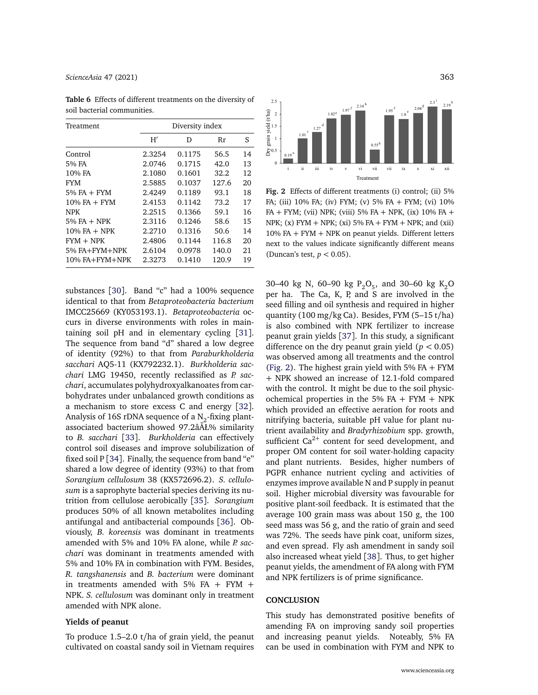## *[ScienceAsia](http://www.scienceasia.org/)* 47 (2021) 363

| Treatment         | Diversity index |        |       |    |  |  |  |
|-------------------|-----------------|--------|-------|----|--|--|--|
|                   | H'              | D      | Rr    | S  |  |  |  |
| Control           | 2.3254          | 0.1175 | 56.5  | 14 |  |  |  |
| 5% FA             | 2.0746          | 0.1715 | 42.0  | 13 |  |  |  |
| 10% FA            | 2.1080          | 0.1601 | 32.2  | 12 |  |  |  |
| <b>FYM</b>        | 2.5885          | 0.1037 | 127.6 | 20 |  |  |  |
| $5%FA + FYM$      | 2.4249          | 0.1189 | 93.1  | 18 |  |  |  |
| $10\%$ FA $+$ FYM | 2.4153          | 0.1142 | 73.2  | 17 |  |  |  |
| <b>NPK</b>        | 2.2515          | 0.1366 | 59.1  | 16 |  |  |  |
| $5\%$ FA $+$ NPK  | 2.3116          | 0.1246 | 58.6  | 15 |  |  |  |
| $10\%$ FA $+$ NPK | 2.2710          | 0.1316 | 50.6  | 14 |  |  |  |
| $FYM + NPK$       | 2.4806          | 0.1144 | 116.8 | 20 |  |  |  |
| 5% FA+FYM+NPK     | 2.6104          | 0.0978 | 140.0 | 21 |  |  |  |
| 10% FA+FYM+NPK    | 2.3273          | 0.1410 | 120.9 | 19 |  |  |  |

<span id="page-6-0"></span>**Table 6** Effects of different treatments on the diversity of soil bacterial communities.

substances [[30](#page-8-3)]. Band "c" had a 100% sequence identical to that from *Betaproteobacteria bacterium* IMCC25669 (KY053193.1). *Betaproteobacteria* occurs in diverse environments with roles in maintaining soil pH and in elementary cycling [[31](#page-8-4)]. The sequence from band "d" shared a low degree of identity (92%) to that from *Paraburkholderia sacchari* AQ5-11 (KX792232.1). *Burkholderia sacchari* LMG 19450, recently reclassified as *P. sacchari*, accumulates polyhydroxyalkanoates from carbohydrates under unbalanced growth conditions as a mechanism to store excess C and energy [[32](#page-8-5)]. Analysis of 16S rDNA sequence of a  $\text{N}_{2}$ -fixing plantassociated bacterium showed 97.2âÅŁ% similarity to *B. sacchari* [[33](#page-8-6)]. *Burkholderia* can effectively control soil diseases and improve solubilization of fixed soil  $P[34]$  $P[34]$  $P[34]$ . Finally, the sequence from band "e" shared a low degree of identity (93%) to that from *Sorangium cellulosum* 38 (KX572696.2). *S. cellulosum* is a saprophyte bacterial species deriving its nutrition from cellulose aerobically [[35](#page-8-8)]. *Sorangium* produces 50% of all known metabolites including antifungal and antibacterial compounds [[36](#page-8-9)]. Obviously, *B. koreensis* was dominant in treatments amended with 5% and 10% FA alone, while *P. sacchari* was dominant in treatments amended with 5% and 10% FA in combination with FYM. Besides, *R. tangshanensis* and *B. bacterium* were dominant in treatments amended with 5% FA + FYM + NPK. *S. cellulosum* was dominant only in treatment amended with NPK alone.

# **Yields of peanut**

To produce 1.5–2.0 t/ha of grain yield, the peanut cultivated on coastal sandy soil in Vietnam requires

<span id="page-6-1"></span>

**Fig. 2** Effects of different treatments (i) control; (ii) 5% FA; (iii) 10% FA; (iv) FYM; (v) 5% FA + FYM; (vi) 10% FA + FYM; (vii) NPK; (viii) 5% FA + NPK, (ix) 10% FA + NPK;  $(x)$  FYM + NPK;  $(xi)$  5% FA + FYM + NPK; and  $(xii)$  $10\%$  FA + FYM + NPK on peanut yields. Different letters next to the values indicate significantly different means (Duncan's test, *p <* 0.05).

30–40 kg N, 60–90 kg  $P_2O_5$ , and 30–60 kg  $K_2O$ per ha. The Ca, K, P, and S are involved in the seed filling and oil synthesis and required in higher quantity (100 mg/kg Ca). Besides, FYM (5–15 t/ha) is also combined with NPK fertilizer to increase peanut grain yields [[37](#page-8-10)]. In this study, a significant difference on the dry peanut grain yield ( $p < 0.05$ ) was observed among all treatments and the control [\(Fig. 2\)](#page-6-1). The highest grain yield with  $5\%$  FA + FYM + NPK showed an increase of 12.1-fold compared with the control. It might be due to the soil physicochemical properties in the 5% FA + FYM + NPK which provided an effective aeration for roots and nitrifying bacteria, suitable pH value for plant nutrient availability and *Bradyrhizobium* spp. growth, sufficient Ca<sup>2+</sup> content for seed development, and proper OM content for soil water-holding capacity and plant nutrients. Besides, higher numbers of PGPR enhance nutrient cycling and activities of enzymes improve available N and P supply in peanut soil. Higher microbial diversity was favourable for positive plant-soil feedback. It is estimated that the average 100 grain mass was about 150 g, the 100 seed mass was 56 g, and the ratio of grain and seed was 72%. The seeds have pink coat, uniform sizes, and even spread. Fly ash amendment in sandy soil also increased wheat yield [[38](#page-8-11)]. Thus, to get higher peanut yields, the amendment of FA along with FYM and NPK fertilizers is of prime significance.

#### **CONCLUSION**

This study has demonstrated positive benefits of amending FA on improving sandy soil properties and increasing peanut yields. Noteably, 5% FA can be used in combination with FYM and NPK to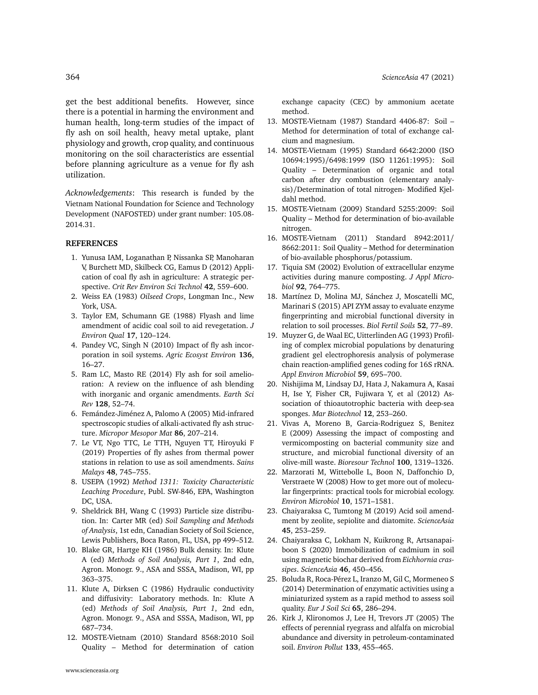get the best additional benefits. However, since there is a potential in harming the environment and human health, long-term studies of the impact of fly ash on soil health, heavy metal uptake, plant physiology and growth, crop quality, and continuous monitoring on the soil characteristics are essential before planning agriculture as a venue for fly ash utilization.

*Acknowledgements*: This research is funded by the Vietnam National Foundation for Science and Technology Development (NAFOSTED) under grant number: 105.08- 2014.31.

#### **REFERENCES**

- <span id="page-7-0"></span>1. [Yunusa IAM, Loganathan P, Nissanka SP, Manoharan](http://dx.doi.org/10.1080/10643389.2010.520236) [V, Burchett MD, Skilbeck CG, Eamus D \(2012\) Appli](http://dx.doi.org/10.1080/10643389.2010.520236)[cation of coal fly ash in agriculture: A strategic per](http://dx.doi.org/10.1080/10643389.2010.520236)spective. *[Crit Rev Environ Sci Technol](http://dx.doi.org/10.1080/10643389.2010.520236)* **42**, 559–600.
- <span id="page-7-1"></span>2. Weiss EA (1983) *Oilseed Crops*, Longman Inc., New York, USA.
- <span id="page-7-2"></span>3. [Taylor EM, Schumann GE \(1988\) Flyash and lime](http://dx.doi.org/10.2134/jeq1988.171120x) [amendment of acidic coal soil to aid revegetation.](http://dx.doi.org/10.2134/jeq1988.171120x) *J [Environ Qual](http://dx.doi.org/10.2134/jeq1988.171120x)* **17**, 120–124.
- <span id="page-7-3"></span>4. [Pandey VC, Singh N \(2010\) Impact of fly ash incor](http://dx.doi.org/10.1016/j.agee.2009.11.013)[poration in soil systems.](http://dx.doi.org/10.1016/j.agee.2009.11.013) *Agric Ecosyst Environ* **136**, [16–27.](http://dx.doi.org/10.1016/j.agee.2009.11.013)
- <span id="page-7-4"></span>5. [Ram LC, Masto RE \(2014\) Fly ash for soil amelio](http://dx.doi.org/10.1016/j.earscirev.2013.10.003)[ration: A review on the influence of ash blending](http://dx.doi.org/10.1016/j.earscirev.2013.10.003) [with inorganic and organic amendments.](http://dx.doi.org/10.1016/j.earscirev.2013.10.003) *Earth Sci Rev* **128**[, 52–74.](http://dx.doi.org/10.1016/j.earscirev.2013.10.003)
- <span id="page-7-5"></span>6. [Femández-Jiménez A, Palomo A \(2005\) Mid-infrared](http://dx.doi.org/10.1016/j.micromeso.2005.05.057) [spectroscopic studies of alkali-activated fly ash struc](http://dx.doi.org/10.1016/j.micromeso.2005.05.057)ture. *[Micropor Mesopor Mat](http://dx.doi.org/10.1016/j.micromeso.2005.05.057)* **86**, 207–214.
- <span id="page-7-6"></span>7. [Le VT, Ngo TTC, Le TTH, Nguyen TT, Hiroyuki F](http://dx.doi.org/10.17576/jsm-2019-4804-06) [\(2019\) Properties of fly ashes from thermal power](http://dx.doi.org/10.17576/jsm-2019-4804-06) [stations in relation to use as soil amendments.](http://dx.doi.org/10.17576/jsm-2019-4804-06) *Sains Malays* **48**[, 745–755.](http://dx.doi.org/10.17576/jsm-2019-4804-06)
- <span id="page-7-7"></span>8. USEPA (1992) *Method 1311: Toxicity Characteristic Leaching Procedure*, Publ. SW-846, EPA, Washington DC, USA.
- <span id="page-7-8"></span>9. Sheldrick BH, Wang C (1993) Particle size distribution. In: Carter MR (ed) *Soil Sampling and Methods of Analysis*, 1st edn, Canadian Society of Soil Science, Lewis Publishers, Boca Raton, FL, USA, pp 499–512.
- <span id="page-7-9"></span>10. [Blake GR, Hartge KH \(1986\) Bulk density. In: Klute](http://dx.doi.org/10.2136/sssabookser5.1.2ed.c13) A (ed) *[Methods of Soil Analysis, Part 1](http://dx.doi.org/10.2136/sssabookser5.1.2ed.c13)*, 2nd edn, [Agron. Monogr. 9., ASA and SSSA, Madison, WI, pp](http://dx.doi.org/10.2136/sssabookser5.1.2ed.c13) [363–375.](http://dx.doi.org/10.2136/sssabookser5.1.2ed.c13)
- <span id="page-7-10"></span>11. [Klute A, Dirksen C \(1986\) Hydraulic conductivity](http://dx.doi.org/10.2136/sssabookser5.1.2ed.c28) [and diffusivity: Laboratory methods. In: Klute A](http://dx.doi.org/10.2136/sssabookser5.1.2ed.c28) (ed) *[Methods of Soil Analysis, Part 1](http://dx.doi.org/10.2136/sssabookser5.1.2ed.c28)*, 2nd edn, [Agron. Monogr. 9., ASA and SSSA, Madison, WI, pp](http://dx.doi.org/10.2136/sssabookser5.1.2ed.c28) [687–734.](http://dx.doi.org/10.2136/sssabookser5.1.2ed.c28)
- <span id="page-7-11"></span>12. MOSTE-Vietnam (2010) Standard 8568:2010 Soil Quality – Method for determination of cation

exchange capacity (CEC) by ammonium acetate method.

- <span id="page-7-12"></span>13. MOSTE-Vietnam (1987) Standard 4406-87: Soil – Method for determination of total of exchange calcium and magnesium.
- <span id="page-7-13"></span>14. MOSTE-Vietnam (1995) Standard 6642:2000 (ISO 10694:1995)/6498:1999 (ISO 11261:1995): Soil Quality – Determination of organic and total carbon after dry combustion (elementary analysis)/Determination of total nitrogen- Modified Kjeldahl method.
- <span id="page-7-14"></span>15. MOSTE-Vietnam (2009) Standard 5255:2009: Soil Quality – Method for determination of bio-available nitrogen.
- <span id="page-7-15"></span>16. MOSTE-Vietnam (2011) Standard 8942:2011/ 8662:2011: Soil Quality – Method for determination of bio-available phosphorus/potassium.
- <span id="page-7-16"></span>17. [Tiquia SM \(2002\) Evolution of extracellular enzyme](http://dx.doi.org/10.1046/j.1365-2672.2002.01582.x) [activities during manure composting.](http://dx.doi.org/10.1046/j.1365-2672.2002.01582.x) *J Appl Microbiol* **92**[, 764–775.](http://dx.doi.org/10.1046/j.1365-2672.2002.01582.x)
- <span id="page-7-17"></span>18. [Martínez D, Molina MJ, Sánchez J, Moscatelli MC,](http://dx.doi.org/10.1007/s00374-015-1055-7) [Marinari S \(2015\) API ZYM assay to evaluate enzyme](http://dx.doi.org/10.1007/s00374-015-1055-7) [fingerprinting and microbial functional diversity in](http://dx.doi.org/10.1007/s00374-015-1055-7) [relation to soil processes.](http://dx.doi.org/10.1007/s00374-015-1055-7) *Biol Fertil Soils* **52**, 77–89.
- <span id="page-7-18"></span>19. [Muyzer G, de Waal EC, Uitterlinden AG \(1993\) Profil](http://dx.doi.org/10.1128/AEM.59.3.695-700.1993)[ing of complex microbial populations by denaturing](http://dx.doi.org/10.1128/AEM.59.3.695-700.1993) [gradient gel electrophoresis analysis of polymerase](http://dx.doi.org/10.1128/AEM.59.3.695-700.1993) [chain reaction-amplified genes coding for 16S rRNA.](http://dx.doi.org/10.1128/AEM.59.3.695-700.1993) *[Appl Environ Microbiol](http://dx.doi.org/10.1128/AEM.59.3.695-700.1993)* **59**, 695–700.
- <span id="page-7-19"></span>20. [Nishijima M, Lindsay DJ, Hata J, Nakamura A, Kasai](http://dx.doi.org/10.1007/s10126-009-9253-7) [H, Ise Y, Fisher CR, Fujiwara Y, et al \(2012\) As](http://dx.doi.org/10.1007/s10126-009-9253-7)[sociation of thioautotrophic bacteria with deep-sea](http://dx.doi.org/10.1007/s10126-009-9253-7) sponges. *[Mar Biotechnol](http://dx.doi.org/10.1007/s10126-009-9253-7)* **12**, 253–260.
- <span id="page-7-20"></span>21. [Vivas A, Moreno B, Garcia-Rodriguez S, Benitez](http://dx.doi.org/10.1016/j.biortech.2008.08.014) [E \(2009\) Assessing the impact of composting and](http://dx.doi.org/10.1016/j.biortech.2008.08.014) [vermicomposting on bacterial community size and](http://dx.doi.org/10.1016/j.biortech.2008.08.014) [structure, and microbial functional diversity of an](http://dx.doi.org/10.1016/j.biortech.2008.08.014) olive-mill waste. *[Bioresour Technol](http://dx.doi.org/10.1016/j.biortech.2008.08.014)* **100**, 1319–1326.
- <span id="page-7-21"></span>22. [Marzorati M, Wittebolle L, Boon N, Daffonchio D,](http://dx.doi.org/10.1111/j.1462-2920.2008.01572.x) [Verstraete W \(2008\) How to get more out of molecu](http://dx.doi.org/10.1111/j.1462-2920.2008.01572.x)[lar fingerprints: practical tools for microbial ecology.](http://dx.doi.org/10.1111/j.1462-2920.2008.01572.x) *[Environ Microbiol](http://dx.doi.org/10.1111/j.1462-2920.2008.01572.x)* **10**, 1571–1581.
- <span id="page-7-22"></span>23. [Chaiyaraksa C, Tumtong M \(2019\) Acid soil amend](http://dx.doi.org/10.2306/scienceasia1513-1874.2019.45.253)[ment by zeolite, sepiolite and diatomite.](http://dx.doi.org/10.2306/scienceasia1513-1874.2019.45.253) *ScienceAsia* **45**[, 253–259.](http://dx.doi.org/10.2306/scienceasia1513-1874.2019.45.253)
- <span id="page-7-23"></span>24. [Chaiyaraksa C, Lokham N, Kuikrong R, Artsanapai](http://dx.doi.org/10.2306/scienceasia1513-1874.2020.055)[boon S \(2020\) Immobilization of cadmium in soil](http://dx.doi.org/10.2306/scienceasia1513-1874.2020.055) [using magnetic biochar derived from](http://dx.doi.org/10.2306/scienceasia1513-1874.2020.055) *Eichhornia crassipes*. *[ScienceAsia](http://dx.doi.org/10.2306/scienceasia1513-1874.2020.055)* **46**, 450–456.
- <span id="page-7-24"></span>25. [Boluda R, Roca-Pérez L, Iranzo M, Gil C, Mormeneo S](http://dx.doi.org/10.1111/ejss.12123) [\(2014\) Determination of enzymatic activities using a](http://dx.doi.org/10.1111/ejss.12123) [miniaturized system as a rapid method to assess soil](http://dx.doi.org/10.1111/ejss.12123) quality. *[Eur J Soil Sci](http://dx.doi.org/10.1111/ejss.12123)* **65**, 286–294.
- <span id="page-7-25"></span>26. [Kirk J, Klironomos J, Lee H, Trevors JT \(2005\) The](http://dx.doi.org/10.1016/j.envpol.2004.06.002) [effects of perennial ryegrass and alfalfa on microbial](http://dx.doi.org/10.1016/j.envpol.2004.06.002) [abundance and diversity in petroleum-contaminated](http://dx.doi.org/10.1016/j.envpol.2004.06.002) soil. *[Environ Pollut](http://dx.doi.org/10.1016/j.envpol.2004.06.002)* **133**, 455–465.